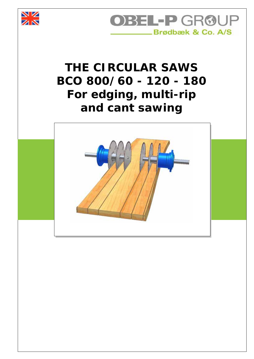



## *THE CIRCULAR SAWS BCO 800/60 - 120 - 180 For edging, multi-rip and cant sawing*

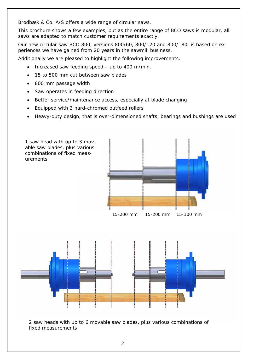Brødbæk & Co. A/S offers a wide range of circular saws.

This brochure shows a few examples, but as the entire range of BCO saws is modular, all saws are adapted to match customer requirements exactly.

Our new circular saw BCO 800, versions 800/60, 800/120 and 800/180, is based on experiences we have gained from 20 years in the sawmill business.

Additionally we are pleased to highlight the following improvements:

- Increased saw feeding speed up to 400 m/min.
- 15 to 500 mm cut between saw blades
- 800 mm passage width
- Saw operates in feeding direction
- Better service/maintenance access, especially at blade changing
- Equipped with 3 hard-chromed outfeed rollers
- Heavy-duty design, that is over-dimensioned shafts, bearings and bushings are used

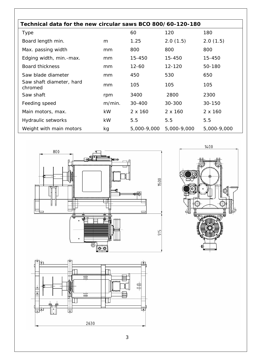| Technical data for the new circular saws BCO 800/60-120-180 |           |                |                |             |  |  |
|-------------------------------------------------------------|-----------|----------------|----------------|-------------|--|--|
| <b>Type</b>                                                 |           | 60             | 120            | 180         |  |  |
| Board length min.                                           | m         | 1.25           | 2.0(1.5)       | 2.0(1.5)    |  |  |
| Max. passing width                                          | mm        | 800            | 800            | 800         |  |  |
| Edging width, min.-max.                                     | mm        | 15-450         | 15-450         | 15-450      |  |  |
| Board thickness                                             | mm        | $12 - 60$      | 12-120         | 50-180      |  |  |
| Saw blade diameter                                          | mm        | 450            | 530            | 650         |  |  |
| Saw shaft diameter, hard<br>chromed                         | mm        | 105            | 105            | 105         |  |  |
| Saw shaft                                                   | rpm       | 3400           | 2800           | 2300        |  |  |
| Feeding speed                                               | m/min.    | 30-400         | 30-300         | 30-150      |  |  |
| Main motors, max.                                           | <b>kW</b> | $2 \times 160$ | $2 \times 160$ | 2 x 160     |  |  |
| Hydraulic setworks                                          | <b>kW</b> | 5.5            | 5.5            | 5.5         |  |  |
| Weight with main motors                                     | kg        | 5,000-9,000    | 5,000-9,000    | 5,000-9,000 |  |  |





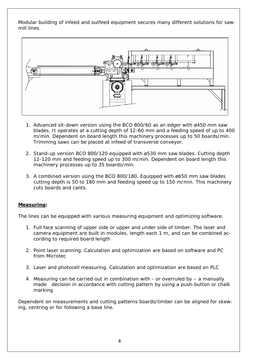Modular building of infeed and outfeed equipment secures many different solutions for sawmill lines.



- 1. Advanced sit-down version using the BCO 800/60 as an edger with ø450 mm saw blades. It operates at a cutting depth of 12-60 mm and a feeding speed of up to 400 m/min. Dependent on board length this machinery processes up to 50 boards/min. Trimming saws can be placed at infeed of transverse conveyor.
- 2. Stand-up version BCO 800/120 equipped with ø530 mm saw blades. Cutting depth 12-120 mm and feeding speed up to 300 m/min. Dependent on board length this machinery processes up to 35 boards/min.
- 3. A combined version using the BCO 800/180. Equipped with ø650 mm saw blades cutting depth is 50 to 180 mm and feeding speed up to 150 m/min. This machinery cuts boards and cants.

## **Measuring:**

The lines can be equipped with various measuring equipment and optimizing software.

- 1. Full face scanning of upper side or upper and under side of timber. The laser and camera equipment are built in modules, length each 1 m, and can be combined according to required board length
- 2. Point laser scanning. Calculation and optimization are based on software and PC from Microtec
- 3. Laser and photocell measuring. Calculation and optimization are based on PLC
- 4. Measuring can be carried out in combination with or overruled by a manually made decision in accordance with cutting pattern by using a push-button or chalk marking

Dependent on measurements and cutting patterns boards/timber can be aligned for skewing, centring or for following a base line.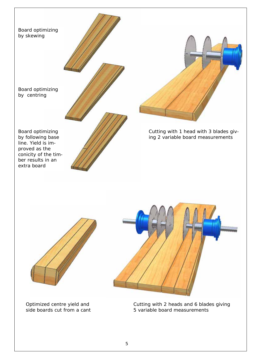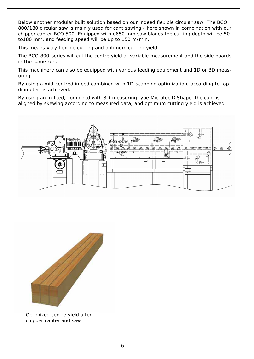Below another modular built solution based on our indeed flexible circular saw. The BCO 800/180 circular saw is mainly used for cant sawing - here shown in combination with our chipper canter BCO 500. Equipped with ø650 mm saw blades the cutting depth will be 50 to180 mm, and feeding speed will be up to 150 m/min.

This means very flexible cutting and optimum cutting yield.

The BCO 800-series will cut the centre yield at variable measurement and the side boards in the same run.

This machinery can also be equipped with various feeding equipment and 1D or 3D measuring:

By using a mid-centred infeed combined with 1D-scanning optimization, according to top diameter, is achieved.

By using an in-feed, combined with 3D-measuring type Microtec DiShape, the cant is aligned by skewing according to measured data, and optimum cutting yield is achieved.





Optimized centre yield after chipper canter and saw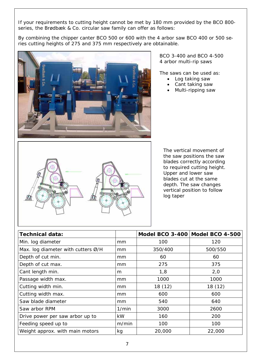If your requirements to cutting height cannot be met by 180 mm provided by the BCO 800 series, the Brødbæk & Co. circular saw family can offer as follows:

By combining the chipper canter BCO 500 or 600 with the 4 arbor saw BCO 400 or 500 series cutting heights of 275 and 375 mm respectively are obtainable.



BCO 3-400 and BCO 4-500 4 arbor multi-rip saws

The saws can be used as:

- Log taking saw
- Cant taking saw
- Multi-ripping saw



The vertical movement of the saw positions the saw blades correctly according to required cutting height. Upper and lower saw blades cut at the same depth. The saw changes vertical position to follow log taper

| <b>Technical data:</b>               |       | Model BCO 3-400 Model BCO 4-500 |         |
|--------------------------------------|-------|---------------------------------|---------|
| Min. log diameter                    | mm    | 100                             | 120     |
| Max. log diameter with cutters $Ø/H$ | mm    | 350/400                         | 500/550 |
| Depth of cut min.                    | mm    | 60                              | 60      |
| Depth of cut max.                    | mm    | 275                             | 375     |
| Cant length min.                     | m     | 1,8                             | 2,0     |
| Passage width max.                   | mm    | 1000                            | 1000    |
| Cutting width min.                   | mm    | 18 (12)                         | 18 (12) |
| Cutting width max.                   | mm    | 600                             | 600     |
| Saw blade diameter                   | mm    | 540                             | 640     |
| Saw arbor RPM                        | 1/min | 3000                            | 2600    |
| Drive power per saw arbor up to      | kW    | 160                             | 200     |
| Feeding speed up to                  | m/min | 100                             | 100     |
| Weight approx. with main motors      | kg    | 20,000                          | 22,000  |